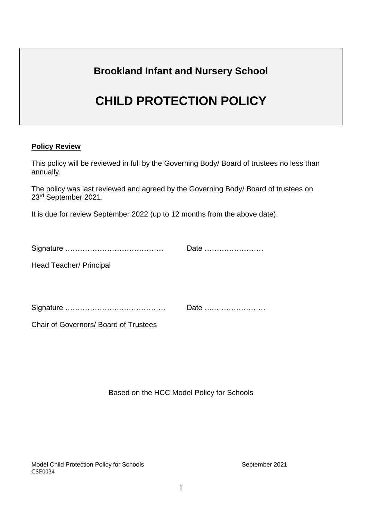# **Brookland Infant and Nursery School**

# **CHILD PROTECTION POLICY**

### **Policy Review**

This policy will be reviewed in full by the Governing Body/ Board of trustees no less than annually.

The policy was last reviewed and agreed by the Governing Body/ Board of trustees on 23<sup>rd</sup> September 2021.

It is due for review September 2022 (up to 12 months from the above date).

| Signature |  |
|-----------|--|
|-----------|--|

Head Teacher/ Principal

Signature ………………….………………. Date ….…………………

Chair of Governors/ Board of Trustees

Based on the HCC Model Policy for Schools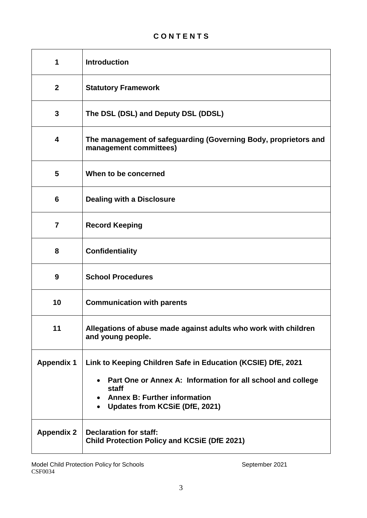# **C O N T E N T S**

| 1                 | <b>Introduction</b>                                                                                                                                                                                                                     |
|-------------------|-----------------------------------------------------------------------------------------------------------------------------------------------------------------------------------------------------------------------------------------|
| $\overline{2}$    | <b>Statutory Framework</b>                                                                                                                                                                                                              |
| $\mathbf{3}$      | The DSL (DSL) and Deputy DSL (DDSL)                                                                                                                                                                                                     |
| 4                 | The management of safeguarding (Governing Body, proprietors and<br>management committees)                                                                                                                                               |
| 5                 | When to be concerned                                                                                                                                                                                                                    |
| 6                 | <b>Dealing with a Disclosure</b>                                                                                                                                                                                                        |
| $\overline{7}$    | <b>Record Keeping</b>                                                                                                                                                                                                                   |
| 8                 | <b>Confidentiality</b>                                                                                                                                                                                                                  |
| 9                 | <b>School Procedures</b>                                                                                                                                                                                                                |
| 10                | <b>Communication with parents</b>                                                                                                                                                                                                       |
| 11                | Allegations of abuse made against adults who work with children<br>and young people.                                                                                                                                                    |
| <b>Appendix 1</b> | Link to Keeping Children Safe in Education (KCSIE) DfE, 2021<br>Part One or Annex A: Information for all school and college<br>$\bullet$<br>staff<br><b>Annex B: Further information</b><br>Updates from KCSiE (DfE, 2021)<br>$\bullet$ |
| <b>Appendix 2</b> | <b>Declaration for staff:</b><br><b>Child Protection Policy and KCSIE (DfE 2021)</b>                                                                                                                                                    |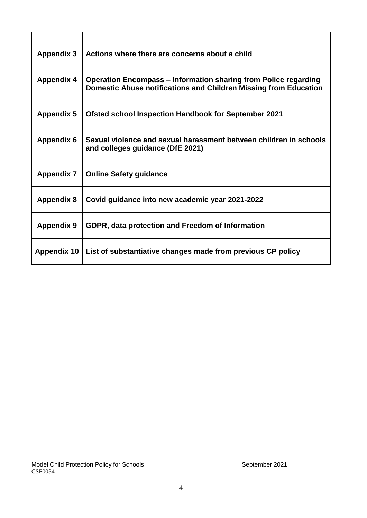| <b>Appendix 3</b>  | Actions where there are concerns about a child                                                                                             |
|--------------------|--------------------------------------------------------------------------------------------------------------------------------------------|
| <b>Appendix 4</b>  | <b>Operation Encompass – Information sharing from Police regarding</b><br>Domestic Abuse notifications and Children Missing from Education |
| <b>Appendix 5</b>  | <b>Ofsted school Inspection Handbook for September 2021</b>                                                                                |
| <b>Appendix 6</b>  | Sexual violence and sexual harassment between children in schools<br>and colleges guidance (DfE 2021)                                      |
| <b>Appendix 7</b>  | <b>Online Safety guidance</b>                                                                                                              |
| <b>Appendix 8</b>  | Covid guidance into new academic year 2021-2022                                                                                            |
| <b>Appendix 9</b>  | GDPR, data protection and Freedom of Information                                                                                           |
| <b>Appendix 10</b> | List of substantiative changes made from previous CP policy                                                                                |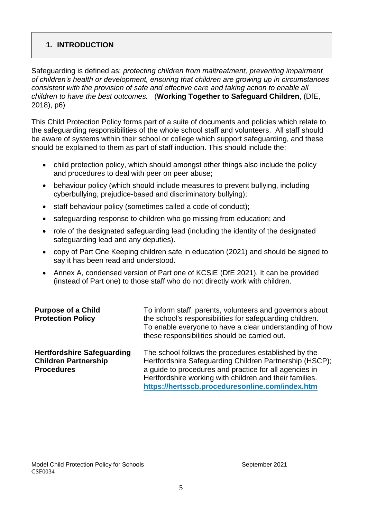# **1. INTRODUCTION**

Safeguarding is defined as: *protecting children from maltreatment, preventing impairment of children's health or development, ensuring that children are growing up in circumstances consistent with the provision of safe and effective care and taking action to enable all children to have the best outcomes.* (**Working Together to Safeguard Children**, (DfE, 2018), p6)

This Child Protection Policy forms part of a suite of documents and policies which relate to the safeguarding responsibilities of the whole school staff and volunteers. All staff should be aware of systems within their school or college which support safeguarding, and these should be explained to them as part of staff induction. This should include the:

- child protection policy, which should amongst other things also include the policy and procedures to deal with peer on peer abuse;
- behaviour policy (which should include measures to prevent bullying, including cyberbullying, prejudice-based and discriminatory bullying);
- staff behaviour policy (sometimes called a code of conduct);
- safeguarding response to children who go missing from education; and
- role of the designated safeguarding lead (including the identity of the designated safeguarding lead and any deputies).
- copy of Part One Keeping children safe in education (2021) and should be signed to say it has been read and understood.
- Annex A, condensed version of Part one of KCSiE (DfE 2021). It can be provided (instead of Part one) to those staff who do not directly work with children.

| <b>Purpose of a Child</b><br><b>Protection Policy</b>                                 | To inform staff, parents, volunteers and governors about<br>the school's responsibilities for safeguarding children.<br>To enable everyone to have a clear understanding of how<br>these responsibilities should be carried out.                                                        |
|---------------------------------------------------------------------------------------|-----------------------------------------------------------------------------------------------------------------------------------------------------------------------------------------------------------------------------------------------------------------------------------------|
| <b>Hertfordshire Safeguarding</b><br><b>Children Partnership</b><br><b>Procedures</b> | The school follows the procedures established by the<br>Hertfordshire Safeguarding Children Partnership (HSCP);<br>a guide to procedures and practice for all agencies in<br>Hertfordshire working with children and their families.<br>https://hertsscb.proceduresonline.com/index.htm |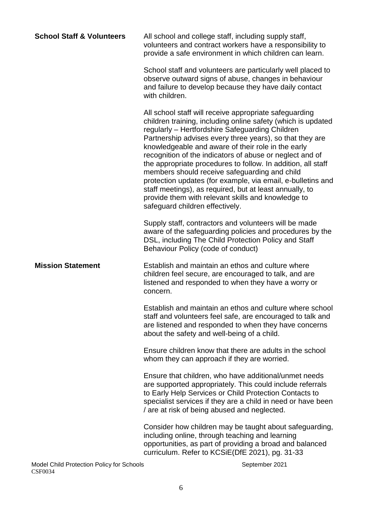| <b>School Staff &amp; Volunteers</b> | All school and college staff, including supply staff,<br>volunteers and contract workers have a responsibility to<br>provide a safe environment in which children can learn.                                                                                                                                                                                                                                                                                                                                                                                                                                                                                                                |
|--------------------------------------|---------------------------------------------------------------------------------------------------------------------------------------------------------------------------------------------------------------------------------------------------------------------------------------------------------------------------------------------------------------------------------------------------------------------------------------------------------------------------------------------------------------------------------------------------------------------------------------------------------------------------------------------------------------------------------------------|
|                                      | School staff and volunteers are particularly well placed to<br>observe outward signs of abuse, changes in behaviour<br>and failure to develop because they have daily contact<br>with children.                                                                                                                                                                                                                                                                                                                                                                                                                                                                                             |
|                                      | All school staff will receive appropriate safeguarding<br>children training, including online safety (which is updated<br>regularly - Hertfordshire Safeguarding Children<br>Partnership advises every three years), so that they are<br>knowledgeable and aware of their role in the early<br>recognition of the indicators of abuse or neglect and of<br>the appropriate procedures to follow. In addition, all staff<br>members should receive safeguarding and child<br>protection updates (for example, via email, e-bulletins and<br>staff meetings), as required, but at least annually, to<br>provide them with relevant skills and knowledge to<br>safeguard children effectively. |
|                                      | Supply staff, contractors and volunteers will be made<br>aware of the safeguarding policies and procedures by the<br>DSL, including The Child Protection Policy and Staff<br>Behaviour Policy (code of conduct)                                                                                                                                                                                                                                                                                                                                                                                                                                                                             |
| <b>Mission Statement</b>             | Establish and maintain an ethos and culture where<br>children feel secure, are encouraged to talk, and are<br>listened and responded to when they have a worry or<br>concern.                                                                                                                                                                                                                                                                                                                                                                                                                                                                                                               |
|                                      | Establish and maintain an ethos and culture where school<br>staff and volunteers feel safe, are encouraged to talk and<br>are listened and responded to when they have concerns<br>about the safety and well-being of a child.                                                                                                                                                                                                                                                                                                                                                                                                                                                              |
|                                      | Ensure children know that there are adults in the school<br>whom they can approach if they are worried.                                                                                                                                                                                                                                                                                                                                                                                                                                                                                                                                                                                     |
|                                      | Ensure that children, who have additional/unmet needs<br>are supported appropriately. This could include referrals<br>to Early Help Services or Child Protection Contacts to<br>specialist services if they are a child in need or have been<br>/ are at risk of being abused and neglected.                                                                                                                                                                                                                                                                                                                                                                                                |
|                                      | Consider how children may be taught about safeguarding,<br>including online, through teaching and learning<br>opportunities, as part of providing a broad and balanced<br>curriculum. Refer to KCSiE(DfE 2021), pg. 31-33                                                                                                                                                                                                                                                                                                                                                                                                                                                                   |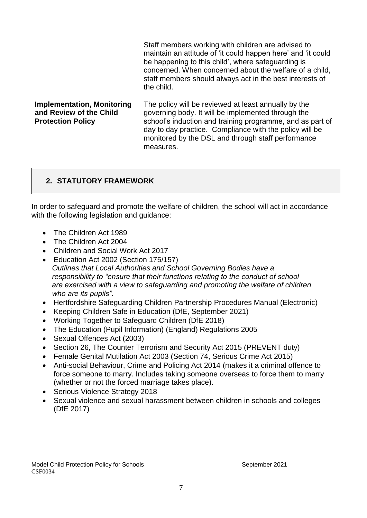Staff members working with children are advised to maintain an attitude of 'it could happen here' and 'it could be happening to this child', where safeguarding is concerned. When concerned about the welfare of a child, staff members should always act in the best interests of the child.

**Implementation, Monitoring and Review of the Child Protection Policy** The policy will be reviewed at least annually by the governing body. It will be implemented through the school's induction and training programme, and as part of day to day practice. Compliance with the policy will be monitored by the DSL and through staff performance measures.

# **2. STATUTORY FRAMEWORK**

In order to safeguard and promote the welfare of children, the school will act in accordance with the following legislation and guidance:

- The Children Act 1989
- The Children Act 2004
- Children and Social Work Act 2017
- Education Act 2002 (Section 175/157) *Outlines that Local Authorities and School Governing Bodies have a responsibility to "ensure that their functions relating to the conduct of school are exercised with a view to safeguarding and promoting the welfare of children who are its pupils".*
- Hertfordshire Safeguarding Children Partnership Procedures Manual (Electronic)
- Keeping Children Safe in Education (DfE, September 2021)
- Working Together to Safeguard Children (DfE 2018)
- The Education (Pupil Information) (England) Regulations 2005
- Sexual Offences Act (2003)
- Section 26, The Counter Terrorism and Security Act 2015 (PREVENT duty)
- Female Genital Mutilation Act 2003 (Section 74, Serious Crime Act 2015)
- Anti-social Behaviour, Crime and Policing Act 2014 (makes it a criminal offence to force someone to marry. Includes taking someone overseas to force them to marry (whether or not the forced marriage takes place).
- Serious Violence Strategy 2018
- Sexual violence and sexual harassment between children in schools and colleges (DfE 2017)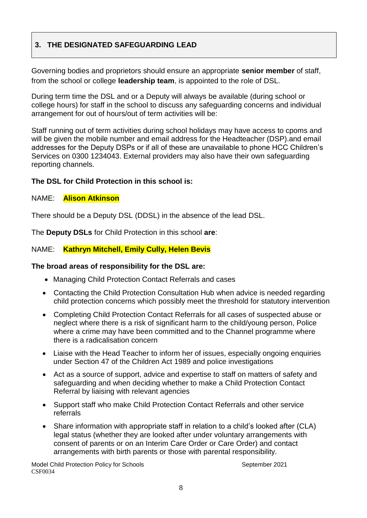# **3. THE DESIGNATED SAFEGUARDING LEAD**

Governing bodies and proprietors should ensure an appropriate **senior member** of staff, from the school or college **leadership team**, is appointed to the role of DSL.

During term time the DSL and or a Deputy will always be available (during school or college hours) for staff in the school to discuss any safeguarding concerns and individual arrangement for out of hours/out of term activities will be:

Staff running out of term activities during school holidays may have access to cpoms and will be given the mobile number and email address for the Headteacher (DSP).and email addresses for the Deputy DSPs or if all of these are unavailable to phone HCC Children's Services on 0300 1234043. External providers may also have their own safeguarding reporting channels.

### **The DSL for Child Protection in this school is:**

#### NAME: **Alison Atkinson**

There should be a Deputy DSL (DDSL) in the absence of the lead DSL.

The **Deputy DSLs** for Child Protection in this school **are**:

### NAME: **Kathryn Mitchell, Emily Cully, Helen Bevis**

#### **The broad areas of responsibility for the DSL are:**

- Managing Child Protection Contact Referrals and cases
- Contacting the Child Protection Consultation Hub when advice is needed regarding child protection concerns which possibly meet the threshold for statutory intervention
- Completing Child Protection Contact Referrals for all cases of suspected abuse or neglect where there is a risk of significant harm to the child/young person, Police where a crime may have been committed and to the Channel programme where there is a radicalisation concern
- Liaise with the Head Teacher to inform her of issues, especially ongoing enquiries under Section 47 of the Children Act 1989 and police investigations
- Act as a source of support, advice and expertise to staff on matters of safety and safeguarding and when deciding whether to make a Child Protection Contact Referral by liaising with relevant agencies
- Support staff who make Child Protection Contact Referrals and other service referrals
- Share information with appropriate staff in relation to a child's looked after (CLA) legal status (whether they are looked after under voluntary arrangements with consent of parents or on an Interim Care Order or Care Order) and contact arrangements with birth parents or those with parental responsibility.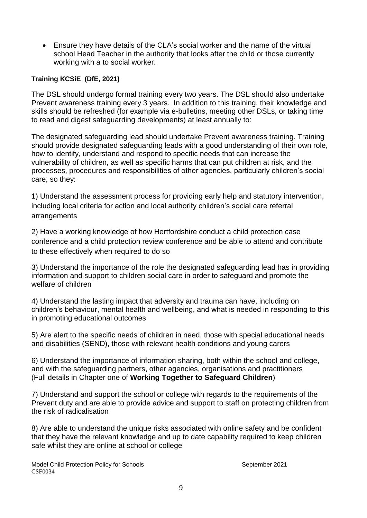Ensure they have details of the CLA's social worker and the name of the virtual school Head Teacher in the authority that looks after the child or those currently working with a to social worker.

#### **Training KCSiE (DfE, 2021)**

The DSL should undergo formal training every two years. The DSL should also undertake Prevent awareness training every 3 years. In addition to this training, their knowledge and skills should be refreshed (for example via e-bulletins, meeting other DSLs, or taking time to read and digest safeguarding developments) at least annually to:

The designated safeguarding lead should undertake Prevent awareness training. Training should provide designated safeguarding leads with a good understanding of their own role, how to identify, understand and respond to specific needs that can increase the vulnerability of children, as well as specific harms that can put children at risk, and the processes, procedures and responsibilities of other agencies, particularly children's social care, so they:

1) Understand the assessment process for providing early help and statutory intervention, including local criteria for action and local authority children's social care referral arrangements

2) Have a working knowledge of how Hertfordshire conduct a child protection case conference and a child protection review conference and be able to attend and contribute to these effectively when required to do so

3) Understand the importance of the role the designated safeguarding lead has in providing information and support to children social care in order to safeguard and promote the welfare of children

4) Understand the lasting impact that adversity and trauma can have, including on children's behaviour, mental health and wellbeing, and what is needed in responding to this in promoting educational outcomes

5) Are alert to the specific needs of children in need, those with special educational needs and disabilities (SEND), those with relevant health conditions and young carers

6) Understand the importance of information sharing, both within the school and college, and with the safeguarding partners, other agencies, organisations and practitioners (Full details in Chapter one of **Working Together to Safeguard Children**)

7) Understand and support the school or college with regards to the requirements of the Prevent duty and are able to provide advice and support to staff on protecting children from the risk of radicalisation

8) Are able to understand the unique risks associated with online safety and be confident that they have the relevant knowledge and up to date capability required to keep children safe whilst they are online at school or college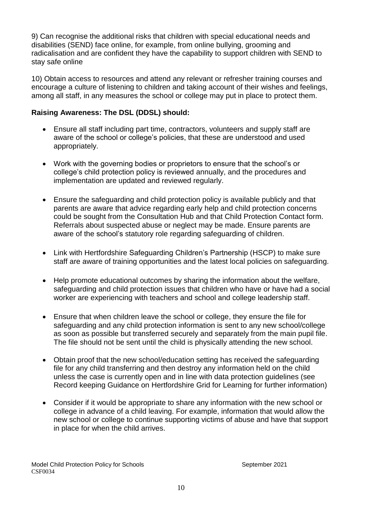9) Can recognise the additional risks that children with special educational needs and disabilities (SEND) face online, for example, from online bullying, grooming and radicalisation and are confident they have the capability to support children with SEND to stay safe online

10) Obtain access to resources and attend any relevant or refresher training courses and encourage a culture of listening to children and taking account of their wishes and feelings, among all staff, in any measures the school or college may put in place to protect them.

# **Raising Awareness: The DSL (DDSL) should:**

- Ensure all staff including part time, contractors, volunteers and supply staff are aware of the school or college's policies, that these are understood and used appropriately.
- Work with the governing bodies or proprietors to ensure that the school's or college's child protection policy is reviewed annually, and the procedures and implementation are updated and reviewed regularly.
- Ensure the safeguarding and child protection policy is available publicly and that parents are aware that advice regarding early help and child protection concerns could be sought from the Consultation Hub and that Child Protection Contact form. Referrals about suspected abuse or neglect may be made. Ensure parents are aware of the school's statutory role regarding safeguarding of children.
- Link with Hertfordshire Safeguarding Children's Partnership (HSCP) to make sure staff are aware of training opportunities and the latest local policies on safeguarding.
- Help promote educational outcomes by sharing the information about the welfare, safeguarding and child protection issues that children who have or have had a social worker are experiencing with teachers and school and college leadership staff.
- Ensure that when children leave the school or college, they ensure the file for safeguarding and any child protection information is sent to any new school/college as soon as possible but transferred securely and separately from the main pupil file. The file should not be sent until the child is physically attending the new school.
- Obtain proof that the new school/education setting has received the safeguarding file for any child transferring and then destroy any information held on the child unless the case is currently open and in line with data protection guidelines (see Record keeping Guidance on Hertfordshire Grid for Learning for further information)
- Consider if it would be appropriate to share any information with the new school or college in advance of a child leaving. For example, information that would allow the new school or college to continue supporting victims of abuse and have that support in place for when the child arrives.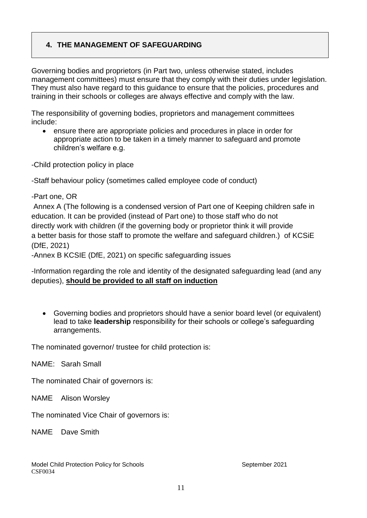# **4. THE MANAGEMENT OF SAFEGUARDING**

Governing bodies and proprietors (in Part two, unless otherwise stated, includes management committees) must ensure that they comply with their duties under legislation. They must also have regard to this guidance to ensure that the policies, procedures and training in their schools or colleges are always effective and comply with the law.

The responsibility of governing bodies, proprietors and management committees include:

 ensure there are appropriate policies and procedures in place in order for appropriate action to be taken in a timely manner to safeguard and promote children's welfare e.g.

-Child protection policy in place

-Staff behaviour policy (sometimes called employee code of conduct)

-Part one, OR

Annex A (The following is a condensed version of Part one of Keeping children safe in education. It can be provided (instead of Part one) to those staff who do not directly work with children (if the governing body or proprietor think it will provide a better basis for those staff to promote the welfare and safeguard children.) of KCSiE (DfE, 2021)

-Annex B KCSIE (DfE, 2021) on specific safeguarding issues

-Information regarding the role and identity of the designated safeguarding lead (and any deputies), **should be provided to all staff on induction**

 Governing bodies and proprietors should have a senior board level (or equivalent) lead to take **leadership** responsibility for their schools or college's safeguarding arrangements.

The nominated governor/ trustee for child protection is:

NAME: Sarah Small

The nominated Chair of governors is:

NAME Alison Worsley

The nominated Vice Chair of governors is:

NAME Dave Smith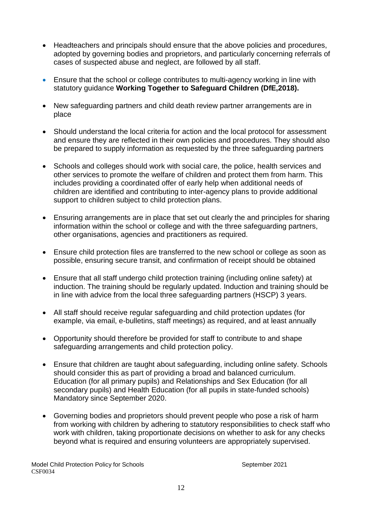- Headteachers and principals should ensure that the above policies and procedures, adopted by governing bodies and proprietors, and particularly concerning referrals of cases of suspected abuse and neglect, are followed by all staff.
- Ensure that the school or college contributes to multi-agency working in line with statutory guidance **Working Together to Safeguard Children (DfE,2018).**
- New safeguarding partners and child death review partner arrangements are in place
- Should understand the local criteria for action and the local protocol for assessment and ensure they are reflected in their own policies and procedures. They should also be prepared to supply information as requested by the three safeguarding partners
- Schools and colleges should work with social care, the police, health services and other services to promote the welfare of children and protect them from harm. This includes providing a coordinated offer of early help when additional needs of children are identified and contributing to inter-agency plans to provide additional support to children subject to child protection plans.
- Ensuring arrangements are in place that set out clearly the and principles for sharing information within the school or college and with the three safeguarding partners, other organisations, agencies and practitioners as required.
- Ensure child protection files are transferred to the new school or college as soon as possible, ensuring secure transit, and confirmation of receipt should be obtained
- Ensure that all staff undergo child protection training (including online safety) at induction. The training should be regularly updated. Induction and training should be in line with advice from the local three safeguarding partners (HSCP) 3 years.
- All staff should receive regular safeguarding and child protection updates (for example, via email, e-bulletins, staff meetings) as required, and at least annually
- Opportunity should therefore be provided for staff to contribute to and shape safeguarding arrangements and child protection policy.
- Ensure that children are taught about safeguarding, including online safety. Schools should consider this as part of providing a broad and balanced curriculum. Education (for all primary pupils) and Relationships and Sex Education (for all secondary pupils) and Health Education (for all pupils in state-funded schools) Mandatory since September 2020.
- Governing bodies and proprietors should prevent people who pose a risk of harm from working with children by adhering to statutory responsibilities to check staff who work with children, taking proportionate decisions on whether to ask for any checks beyond what is required and ensuring volunteers are appropriately supervised.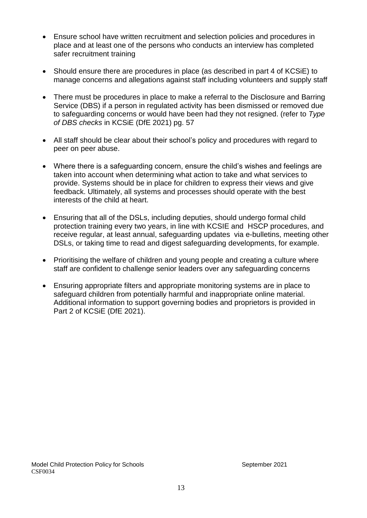- Ensure school have written recruitment and selection policies and procedures in place and at least one of the persons who conducts an interview has completed safer recruitment training
- Should ensure there are procedures in place (as described in part 4 of KCSiE) to manage concerns and allegations against staff including volunteers and supply staff
- There must be procedures in place to make a referral to the Disclosure and Barring Service (DBS) if a person in regulated activity has been dismissed or removed due to safeguarding concerns or would have been had they not resigned. (refer to *Type of DBS checks* in KCSiE (DfE 2021) pg. 57
- All staff should be clear about their school's policy and procedures with regard to peer on peer abuse.
- Where there is a safeguarding concern, ensure the child's wishes and feelings are taken into account when determining what action to take and what services to provide. Systems should be in place for children to express their views and give feedback. Ultimately, all systems and processes should operate with the best interests of the child at heart.
- Ensuring that all of the DSLs, including deputies, should undergo formal child protection training every two years, in line with KCSIE and HSCP procedures, and receive regular, at least annual, safeguarding updates via e-bulletins, meeting other DSLs, or taking time to read and digest safeguarding developments, for example.
- Prioritising the welfare of children and young people and creating a culture where staff are confident to challenge senior leaders over any safeguarding concerns
- Ensuring appropriate filters and appropriate monitoring systems are in place to safeguard children from potentially harmful and inappropriate online material. Additional information to support governing bodies and proprietors is provided in Part 2 of KCSiE (DfE 2021).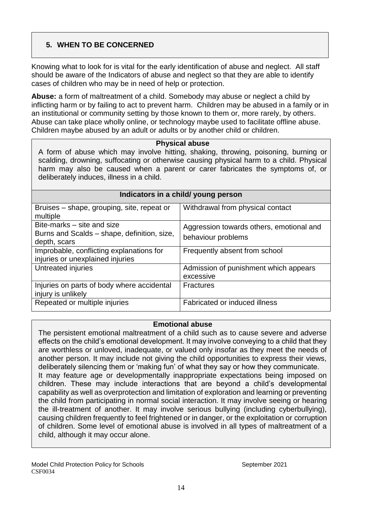# **5. WHEN TO BE CONCERNED**

Knowing what to look for is vital for the early identification of abuse and neglect. All staff should be aware of the Indicators of abuse and neglect so that they are able to identify cases of children who may be in need of help or protection.

**Abuse:** a form of maltreatment of a child. Somebody may abuse or neglect a child by inflicting harm or by failing to act to prevent harm. Children may be abused in a family or in an institutional or community setting by those known to them or, more rarely, by others. Abuse can take place wholly online, or technology maybe used to facilitate offline abuse. Children maybe abused by an adult or adults or by another child or children.

#### **Physical abuse**

A form of abuse which may involve hitting, shaking, throwing, poisoning, burning or scalding, drowning, suffocating or otherwise causing physical harm to a child. Physical harm may also be caused when a parent or carer fabricates the symptoms of, or deliberately induces, illness in a child.

| Indicators in a child/ young person                                                       |                                                                |  |  |
|-------------------------------------------------------------------------------------------|----------------------------------------------------------------|--|--|
| Bruises – shape, grouping, site, repeat or<br>multiple                                    | Withdrawal from physical contact                               |  |  |
| Bite-marks – site and size<br>Burns and Scalds – shape, definition, size,<br>depth, scars | Aggression towards others, emotional and<br>behaviour problems |  |  |
| Improbable, conflicting explanations for<br>injuries or unexplained injuries              | Frequently absent from school                                  |  |  |
| Untreated injuries                                                                        | Admission of punishment which appears<br>excessive             |  |  |
| Injuries on parts of body where accidental<br>injury is unlikely                          | <b>Fractures</b>                                               |  |  |
| Repeated or multiple injuries                                                             | Fabricated or induced illness                                  |  |  |

#### **Emotional abuse**

The persistent emotional maltreatment of a child such as to cause severe and adverse effects on the child's emotional development. It may involve conveying to a child that they are worthless or unloved, inadequate, or valued only insofar as they meet the needs of another person. It may include not giving the child opportunities to express their views, deliberately silencing them or 'making fun' of what they say or how they communicate. It may feature age or developmentally inappropriate expectations being imposed on children. These may include interactions that are beyond a child's developmental capability as well as overprotection and limitation of exploration and learning or preventing the child from participating in normal social interaction. It may involve seeing or hearing the ill-treatment of another. It may involve serious bullying (including cyberbullying), causing children frequently to feel frightened or in danger, or the exploitation or corruption of children. Some level of emotional abuse is involved in all types of maltreatment of a child, although it may occur alone.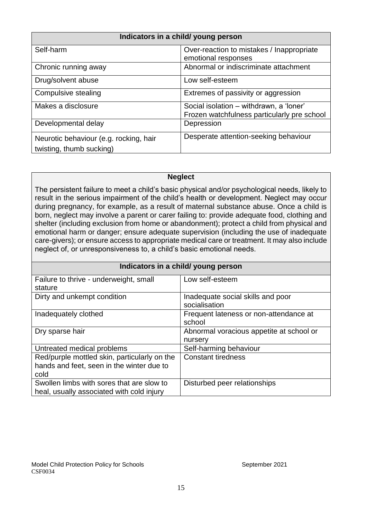| Indicators in a child/ young person                                |                                                                                        |  |
|--------------------------------------------------------------------|----------------------------------------------------------------------------------------|--|
| Self-harm                                                          | Over-reaction to mistakes / Inappropriate<br>emotional responses                       |  |
| Chronic running away                                               | Abnormal or indiscriminate attachment                                                  |  |
| Drug/solvent abuse                                                 | Low self-esteem                                                                        |  |
| Compulsive stealing                                                | Extremes of passivity or aggression                                                    |  |
| Makes a disclosure                                                 | Social isolation - withdrawn, a 'loner'<br>Frozen watchfulness particularly pre school |  |
| Developmental delay                                                | Depression                                                                             |  |
| Neurotic behaviour (e.g. rocking, hair<br>twisting, thumb sucking) | Desperate attention-seeking behaviour                                                  |  |

#### **Neglect**

The persistent failure to meet a child's basic physical and/or psychological needs, likely to result in the serious impairment of the child's health or development. Neglect may occur during pregnancy, for example, as a result of maternal substance abuse. Once a child is born, neglect may involve a parent or carer failing to: provide adequate food, clothing and shelter (including exclusion from home or abandonment); protect a child from physical and emotional harm or danger; ensure adequate supervision (including the use of inadequate care-givers); or ensure access to appropriate medical care or treatment. It may also include neglect of, or unresponsiveness to, a child's basic emotional needs.

| Indicators in a child/ young person          |                                          |  |
|----------------------------------------------|------------------------------------------|--|
| Failure to thrive - underweight, small       | Low self-esteem                          |  |
| stature                                      |                                          |  |
| Dirty and unkempt condition                  | Inadequate social skills and poor        |  |
|                                              | socialisation                            |  |
| Inadequately clothed                         | Frequent lateness or non-attendance at   |  |
|                                              | school                                   |  |
| Dry sparse hair                              | Abnormal voracious appetite at school or |  |
|                                              | nursery                                  |  |
| Untreated medical problems                   | Self-harming behaviour                   |  |
| Red/purple mottled skin, particularly on the | <b>Constant tiredness</b>                |  |
| hands and feet, seen in the winter due to    |                                          |  |
| cold                                         |                                          |  |
| Swollen limbs with sores that are slow to    | Disturbed peer relationships             |  |
| heal, usually associated with cold injury    |                                          |  |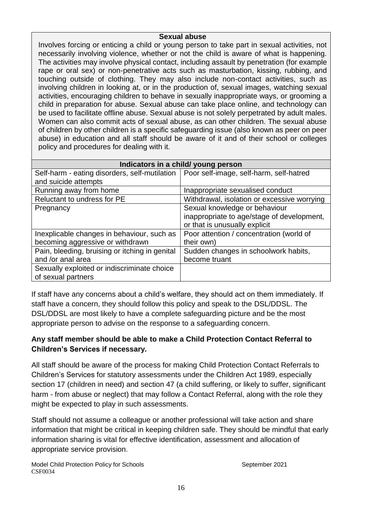#### **Sexual abuse**

Involves forcing or enticing a child or young person to take part in sexual activities, not necessarily involving violence, whether or not the child is aware of what is happening. The activities may involve physical contact, including assault by penetration (for example rape or oral sex) or non-penetrative acts such as masturbation, kissing, rubbing, and touching outside of clothing. They may also include non-contact activities, such as involving children in looking at, or in the production of, sexual images, watching sexual activities, encouraging children to behave in sexually inappropriate ways, or grooming a child in preparation for abuse. Sexual abuse can take place online, and technology can be used to facilitate offline abuse. Sexual abuse is not solely perpetrated by adult males. Women can also commit acts of sexual abuse, as can other children. The sexual abuse of children by other children is a specific safeguarding issue (also known as peer on peer abuse) in education and all staff should be aware of it and of their school or colleges policy and procedures for dealing with it.

| Indicators in a child/ young person            |                                             |  |  |
|------------------------------------------------|---------------------------------------------|--|--|
| Self-harm - eating disorders, self-mutilation  | Poor self-image, self-harm, self-hatred     |  |  |
| and suicide attempts                           |                                             |  |  |
| Running away from home                         | Inappropriate sexualised conduct            |  |  |
| Reluctant to undress for PE                    | Withdrawal, isolation or excessive worrying |  |  |
| Pregnancy                                      | Sexual knowledge or behaviour               |  |  |
|                                                | inappropriate to age/stage of development,  |  |  |
|                                                | or that is unusually explicit               |  |  |
| Inexplicable changes in behaviour, such as     | Poor attention / concentration (world of    |  |  |
| becoming aggressive or withdrawn               | their own)                                  |  |  |
| Pain, bleeding, bruising or itching in genital | Sudden changes in schoolwork habits,        |  |  |
| and /or anal area                              | become truant                               |  |  |
| Sexually exploited or indiscriminate choice    |                                             |  |  |
| of sexual partners                             |                                             |  |  |

If staff have any concerns about a child's welfare, they should act on them immediately. If staff have a concern, they should follow this policy and speak to the DSL/DDSL. The DSL/DDSL are most likely to have a complete safeguarding picture and be the most appropriate person to advise on the response to a safeguarding concern.

# **Any staff member should be able to make a Child Protection Contact Referral to Children's Services if necessary.**

All staff should be aware of the process for making Child Protection Contact Referrals to Children's Services for statutory assessments under the Children Act 1989, especially section 17 (children in need) and section 47 (a child suffering, or likely to suffer, significant harm - from abuse or neglect) that may follow a Contact Referral, along with the role they might be expected to play in such assessments.

Staff should not assume a colleague or another professional will take action and share information that might be critical in keeping children safe. They should be mindful that early information sharing is vital for effective identification, assessment and allocation of appropriate service provision.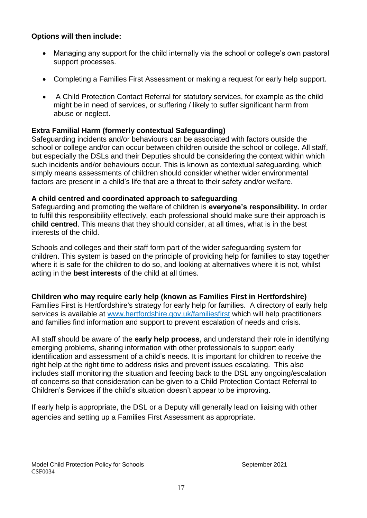# **Options will then include:**

- Managing any support for the child internally via the school or college's own pastoral support processes.
- Completing a Families First Assessment or making a request for early help support.
- A Child Protection Contact Referral for statutory services, for example as the child might be in need of services, or suffering / likely to suffer significant harm from abuse or neglect.

# **Extra Familial Harm (formerly contextual Safeguarding)**

Safeguarding incidents and/or behaviours can be associated with factors outside the school or college and/or can occur between children outside the school or college. All staff, but especially the DSLs and their Deputies should be considering the context within which such incidents and/or behaviours occur. This is known as contextual safeguarding, which simply means assessments of children should consider whether wider environmental factors are present in a child's life that are a threat to their safety and/or welfare.

### **A child centred and coordinated approach to safeguarding**

Safeguarding and promoting the welfare of children is **everyone's responsibility.** In order to fulfil this responsibility effectively, each professional should make sure their approach is **child centred**. This means that they should consider, at all times, what is in the best interests of the child.

Schools and colleges and their staff form part of the wider safeguarding system for children. This system is based on the principle of providing help for families to stay together where it is safe for the children to do so, and looking at alternatives where it is not, whilst acting in the **best interests** of the child at all times.

# **Children who may require early help (known as Families First in Hertfordshire)**

Families First is Hertfordshire's strategy for early help for families. A directory of early help services is available at [www.hertfordshire.gov.uk/familiesfirst](http://www.hertfordshire.gov.uk/familiesfirst) which will help practitioners and families find information and support to prevent escalation of needs and crisis.

All staff should be aware of the **early help process**, and understand their role in identifying emerging problems, sharing information with other professionals to support early identification and assessment of a child's needs. It is important for children to receive the right help at the right time to address risks and prevent issues escalating. This also includes staff monitoring the situation and feeding back to the DSL any ongoing/escalation of concerns so that consideration can be given to a Child Protection Contact Referral to Children's Services if the child's situation doesn't appear to be improving.

If early help is appropriate, the DSL or a Deputy will generally lead on liaising with other agencies and setting up a Families First Assessment as appropriate.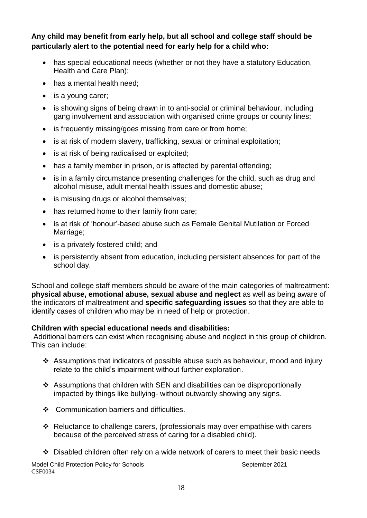**Any child may benefit from early help, but all school and college staff should be particularly alert to the potential need for early help for a child who:** 

- has special educational needs (whether or not they have a statutory Education, Health and Care Plan);
- has a mental health need;
- is a young carer;
- is showing signs of being drawn in to anti-social or criminal behaviour, including gang involvement and association with organised crime groups or county lines;
- is frequently missing/goes missing from care or from home;
- is at risk of modern slavery, trafficking, sexual or criminal exploitation;
- is at risk of being radicalised or exploited;
- has a family member in prison, or is affected by parental offending;
- is in a family circumstance presenting challenges for the child, such as drug and alcohol misuse, adult mental health issues and domestic abuse;
- is misusing drugs or alcohol themselves;
- has returned home to their family from care;
- is at risk of 'honour'-based abuse such as Female Genital Mutilation or Forced Marriage;
- is a privately fostered child; and
- is persistently absent from education, including persistent absences for part of the school day.

School and college staff members should be aware of the main categories of maltreatment: **physical abuse, emotional abuse, sexual abuse and neglect** as well as being aware of the indicators of maltreatment and **specific safeguarding issues** so that they are able to identify cases of children who may be in need of help or protection.

# **Children with special educational needs and disabilities:**

Additional barriers can exist when recognising abuse and neglect in this group of children. This can include:

- Assumptions that indicators of possible abuse such as behaviour, mood and injury relate to the child's impairment without further exploration.
- Assumptions that children with SEN and disabilities can be disproportionally impacted by things like bullying- without outwardly showing any signs.
- ❖ Communication barriers and difficulties.
- Reluctance to challenge carers, (professionals may over empathise with carers because of the perceived stress of caring for a disabled child).
- $\div$  Disabled children often rely on a wide network of carers to meet their basic needs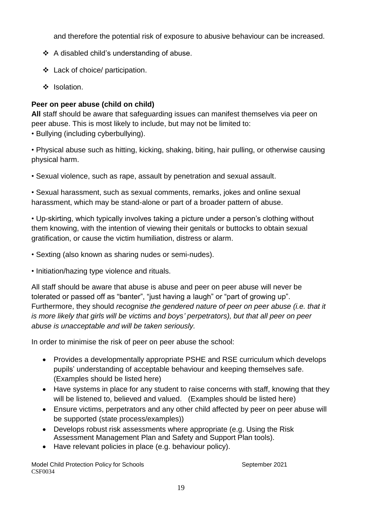and therefore the potential risk of exposure to abusive behaviour can be increased.

- A disabled child's understanding of abuse.
- Lack of choice/ participation.
- ❖ Isolation.

# **Peer on peer abuse (child on child)**

**All** staff should be aware that safeguarding issues can manifest themselves via peer on peer abuse. This is most likely to include, but may not be limited to:

• Bullying (including cyberbullying).

• Physical abuse such as hitting, kicking, shaking, biting, hair pulling, or otherwise causing physical harm.

• Sexual violence, such as rape, assault by penetration and sexual assault.

• Sexual harassment, such as sexual comments, remarks, jokes and online sexual harassment, which may be stand-alone or part of a broader pattern of abuse.

• Up-skirting, which typically involves taking a picture under a person's clothing without them knowing, with the intention of viewing their genitals or buttocks to obtain sexual gratification, or cause the victim humiliation, distress or alarm.

• Sexting (also known as sharing nudes or semi-nudes).

• Initiation/hazing type violence and rituals.

All staff should be aware that abuse is abuse and peer on peer abuse will never be tolerated or passed off as "banter", "just having a laugh" or "part of growing up". Furthermore, they should *recognise the gendered nature of peer on peer abuse (i.e. that it is more likely that girls will be victims and boys' perpetrators), but that all peer on peer abuse is unacceptable and will be taken seriously.*

In order to minimise the risk of peer on peer abuse the school:

- Provides a developmentally appropriate PSHE and RSE curriculum which develops pupils' understanding of acceptable behaviour and keeping themselves safe. (Examples should be listed here)
- Have systems in place for any student to raise concerns with staff, knowing that they will be listened to, believed and valued. (Examples should be listed here)
- Ensure victims, perpetrators and any other child affected by peer on peer abuse will be supported (state process/examples))
- Develops robust risk assessments where appropriate (e.g. Using the Risk Assessment Management Plan and Safety and Support Plan tools).
- Have relevant policies in place (e.g. behaviour policy).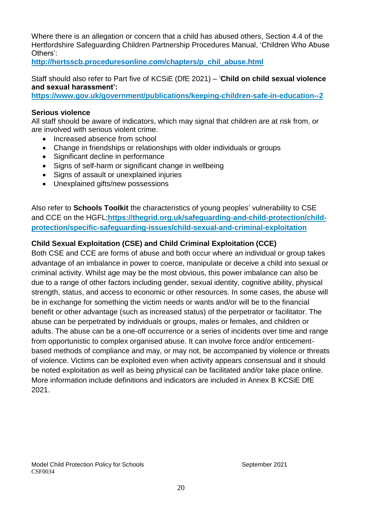Where there is an allegation or concern that a child has abused others, Section 4.4 of the Hertfordshire Safeguarding Children Partnership Procedures Manual, 'Children Who Abuse Others':

**[http://hertsscb.proceduresonline.com/chapters/p\\_chil\\_abuse.html](http://hertsscb.proceduresonline.com/chapters/p_chil_abuse.html)**

Staff should also refer to Part five of KCSiE (DfE 2021) – '**Child on child sexual violence and sexual harassment':**

**<https://www.gov.uk/government/publications/keeping-children-safe-in-education--2>**

### **Serious violence**

All staff should be aware of indicators, which may signal that children are at risk from, or are involved with serious violent crime.

- Increased absence from school
- Change in friendships or relationships with older individuals or groups
- Significant decline in performance
- Signs of self-harm or significant change in wellbeing
- Signs of assault or unexplained injuries
- Unexplained gifts/new possessions

Also refer to **Schools Toolkit** the characteristics of young peoples' vulnerability to CSE and CCE on the HGFL;**[https://thegrid.org.uk/safeguarding-and-child-protection/child](https://thegrid.org.uk/safeguarding-and-child-protection/child-protection/specific-safeguarding-issues/child-sexual-and-criminal-exploitation)[protection/specific-safeguarding-issues/child-sexual-and-criminal-exploitation](https://thegrid.org.uk/safeguarding-and-child-protection/child-protection/specific-safeguarding-issues/child-sexual-and-criminal-exploitation)**

# **Child Sexual Exploitation (CSE) and Child Criminal Exploitation (CCE)**

Both CSE and CCE are forms of abuse and both occur where an individual or group takes advantage of an imbalance in power to coerce, manipulate or deceive a child into sexual or criminal activity. Whilst age may be the most obvious, this power imbalance can also be due to a range of other factors including gender, sexual identity, cognitive ability, physical strength, status, and access to economic or other resources. In some cases, the abuse will be in exchange for something the victim needs or wants and/or will be to the financial benefit or other advantage (such as increased status) of the perpetrator or facilitator. The abuse can be perpetrated by individuals or groups, males or females, and children or adults. The abuse can be a one-off occurrence or a series of incidents over time and range from opportunistic to complex organised abuse. It can involve force and/or enticementbased methods of compliance and may, or may not, be accompanied by violence or threats of violence. Victims can be exploited even when activity appears consensual and it should be noted exploitation as well as being physical can be facilitated and/or take place online. More information include definitions and indicators are included in Annex B KCSiE DfE 2021.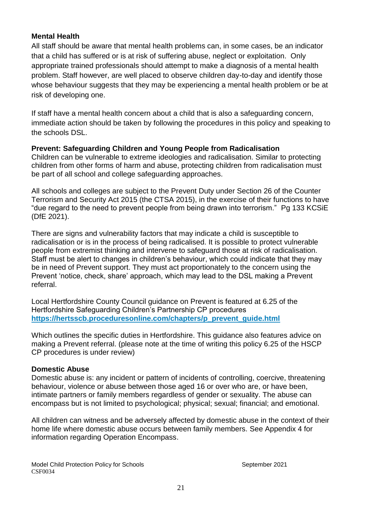### **Mental Health**

All staff should be aware that mental health problems can, in some cases, be an indicator that a child has suffered or is at risk of suffering abuse, neglect or exploitation. Only appropriate trained professionals should attempt to make a diagnosis of a mental health problem. Staff however, are well placed to observe children day-to-day and identify those whose behaviour suggests that they may be experiencing a mental health problem or be at risk of developing one.

If staff have a mental health concern about a child that is also a safeguarding concern, immediate action should be taken by following the procedures in this policy and speaking to the schools DSL.

**Prevent: Safeguarding Children and Young People from Radicalisation** Children can be vulnerable to extreme ideologies and radicalisation. Similar to protecting children from other forms of harm and abuse, protecting children from radicalisation must be part of all school and college safeguarding approaches.

All schools and colleges are subject to the Prevent Duty under Section 26 of the Counter Terrorism and Security Act 2015 (the CTSA 2015), in the exercise of their functions to have "due regard to the need to prevent people from being drawn into terrorism." Pg 133 KCSiE (DfE 2021).

There are signs and vulnerability factors that may indicate a child is susceptible to radicalisation or is in the process of being radicalised. It is possible to protect vulnerable people from extremist thinking and intervene to safeguard those at risk of radicalisation. Staff must be alert to changes in children's behaviour, which could indicate that they may be in need of Prevent support. They must act proportionately to the concern using the Prevent 'notice, check, share' approach, which may lead to the DSL making a Prevent referral.

Local Hertfordshire County Council guidance on Prevent is featured at 6.25 of the Hertfordshire Safeguarding Children's Partnership CP procedures **[https://hertsscb.proceduresonline.com/chapters/p\\_prevent\\_guide.html](https://hertsscb.proceduresonline.com/chapters/p_prevent_guide.html)**

Which outlines the specific duties in Hertfordshire. This guidance also features advice on making a Prevent referral. (please note at the time of writing this policy 6.25 of the HSCP CP procedures is under review)

#### **Domestic Abuse**

Domestic abuse is: any incident or pattern of incidents of controlling, coercive, threatening behaviour, violence or abuse between those aged 16 or over who are, or have been, intimate partners or family members regardless of gender or sexuality. The abuse can encompass but is not limited to psychological; physical; sexual; financial; and emotional.

All children can witness and be adversely affected by domestic abuse in the context of their home life where domestic abuse occurs between family members. See Appendix 4 for information regarding Operation Encompass.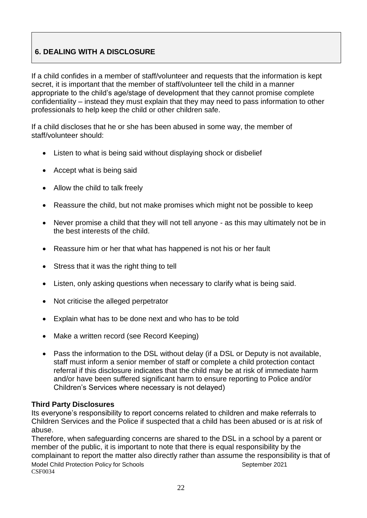# **6. DEALING WITH A DISCLOSURE**

If a child confides in a member of staff/volunteer and requests that the information is kept secret, it is important that the member of staff/volunteer tell the child in a manner appropriate to the child's age/stage of development that they cannot promise complete confidentiality – instead they must explain that they may need to pass information to other professionals to help keep the child or other children safe.

If a child discloses that he or she has been abused in some way, the member of staff/volunteer should:

- Listen to what is being said without displaying shock or disbelief
- Accept what is being said
- Allow the child to talk freely
- Reassure the child, but not make promises which might not be possible to keep
- Never promise a child that they will not tell anyone as this may ultimately not be in the best interests of the child.
- Reassure him or her that what has happened is not his or her fault
- Stress that it was the right thing to tell
- Listen, only asking questions when necessary to clarify what is being said.
- Not criticise the alleged perpetrator
- Explain what has to be done next and who has to be told
- Make a written record (see Record Keeping)
- Pass the information to the DSL without delay (if a DSL or Deputy is not available, staff must inform a senior member of staff or complete a child protection contact referral if this disclosure indicates that the child may be at risk of immediate harm and/or have been suffered significant harm to ensure reporting to Police and/or Children's Services where necessary is not delayed)

# **Third Party Disclosures**

Its everyone's responsibility to report concerns related to children and make referrals to Children Services and the Police if suspected that a child has been abused or is at risk of abuse.

Model Child Protection Policy for Schools Model Child Protection Policy for Schools CSF0034 Therefore, when safeguarding concerns are shared to the DSL in a school by a parent or member of the public, it is important to note that there is equal responsibility by the complainant to report the matter also directly rather than assume the responsibility is that of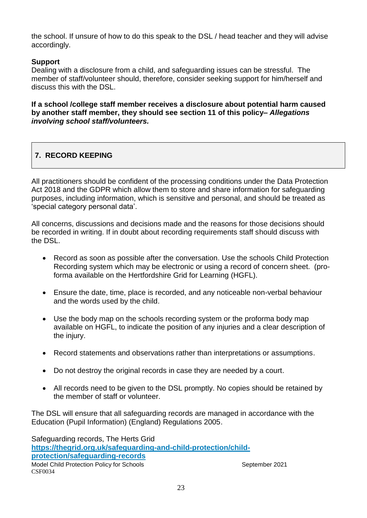the school. If unsure of how to do this speak to the DSL / head teacher and they will advise accordingly.

# **Support**

Dealing with a disclosure from a child, and safeguarding issues can be stressful. The member of staff/volunteer should, therefore, consider seeking support for him/herself and discuss this with the DSL.

**If a school /college staff member receives a disclosure about potential harm caused by another staff member, they should see section 11 of this policy–** *Allegations involving school staff/volunteers.* 

# **7. RECORD KEEPING**

All practitioners should be confident of the processing conditions under the Data Protection Act 2018 and the GDPR which allow them to store and share information for safeguarding purposes, including information, which is sensitive and personal, and should be treated as 'special category personal data'.

All concerns, discussions and decisions made and the reasons for those decisions should be recorded in writing. If in doubt about recording requirements staff should discuss with the DSL.

- Record as soon as possible after the conversation. Use the schools Child Protection Recording system which may be electronic or using a record of concern sheet. (proforma available on the Hertfordshire Grid for Learning (HGFL).
- Ensure the date, time, place is recorded, and any noticeable non-verbal behaviour and the words used by the child.
- Use the body map on the schools recording system or the proforma body map available on HGFL, to indicate the position of any injuries and a clear description of the injury.
- Record statements and observations rather than interpretations or assumptions.
- Do not destroy the original records in case they are needed by a court.
- All records need to be given to the DSL promptly. No copies should be retained by the member of staff or volunteer.

The DSL will ensure that all safeguarding records are managed in accordance with the Education (Pupil Information) (England) Regulations 2005.

Model Child Protection Policy for Schools **September 2021** CSF0034 Safeguarding records, The Herts Grid **[https://thegrid.org.uk/safeguarding-and-child-protection/child](https://thegrid.org.uk/safeguarding-and-child-protection/child-protection/safeguarding-records)[protection/safeguarding-records](https://thegrid.org.uk/safeguarding-and-child-protection/child-protection/safeguarding-records)**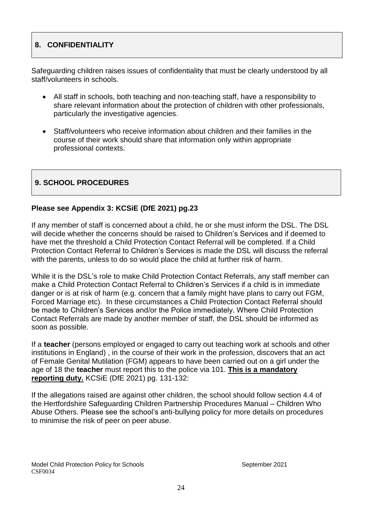# **8. CONFIDENTIALITY**

Safeguarding children raises issues of confidentiality that must be clearly understood by all staff/volunteers in schools.

- All staff in schools, both teaching and non-teaching staff, have a responsibility to share relevant information about the protection of children with other professionals, particularly the investigative agencies.
- Staff/volunteers who receive information about children and their families in the course of their work should share that information only within appropriate professional contexts.

# **9. SCHOOL PROCEDURES**

# **Please see Appendix 3: KCSiE (DfE 2021) pg.23**

If any member of staff is concerned about a child, he or she must inform the DSL. The DSL will decide whether the concerns should be raised to Children's Services and if deemed to have met the threshold a Child Protection Contact Referral will be completed. If a Child Protection Contact Referral to Children's Services is made the DSL will discuss the referral with the parents, unless to do so would place the child at further risk of harm.

While it is the DSL's role to make Child Protection Contact Referrals, any staff member can make a Child Protection Contact Referral to Children's Services if a child is in immediate danger or is at risk of harm (e.g. concern that a family might have plans to carry out FGM, Forced Marriage etc). In these circumstances a Child Protection Contact Referral should be made to Children's Services and/or the Police immediately. Where Child Protection Contact Referrals are made by another member of staff, the DSL should be informed as soon as possible.

If a **teacher** (persons employed or engaged to carry out teaching work at schools and other institutions in England) , in the course of their work in the profession, discovers that an act of Female Genital Mutilation (FGM) appears to have been carried out on a girl under the age of 18 the **teacher** must report this to the police via 101. **This is a mandatory reporting duty.** KCSiE (DfE 2021) pg. 131-132:

If the allegations raised are against other children, the school should follow section 4.4 of the Hertfordshire Safeguarding Children Partnership Procedures Manual – Children Who Abuse Others. Please see the school's anti-bullying policy for more details on procedures to minimise the risk of peer on peer abuse.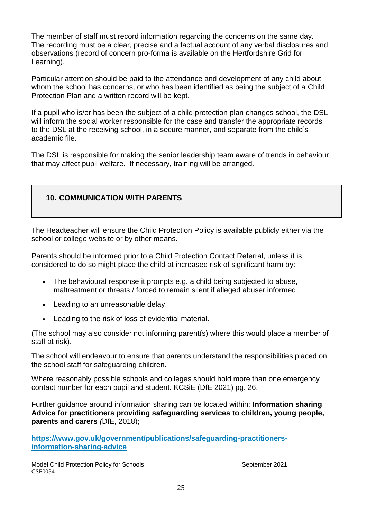The member of staff must record information regarding the concerns on the same day. The recording must be a clear, precise and a factual account of any verbal disclosures and observations (record of concern pro-forma is available on the Hertfordshire Grid for Learning).

Particular attention should be paid to the attendance and development of any child about whom the school has concerns, or who has been identified as being the subject of a Child Protection Plan and a written record will be kept.

If a pupil who is/or has been the subject of a child protection plan changes school, the DSL will inform the social worker responsible for the case and transfer the appropriate records to the DSL at the receiving school, in a secure manner, and separate from the child's academic file.

The DSL is responsible for making the senior leadership team aware of trends in behaviour that may affect pupil welfare. If necessary, training will be arranged.

# **10. COMMUNICATION WITH PARENTS**

The Headteacher will ensure the Child Protection Policy is available publicly either via the school or college website or by other means.

Parents should be informed prior to a Child Protection Contact Referral, unless it is considered to do so might place the child at increased risk of significant harm by:

- The behavioural response it prompts e.g. a child being subjected to abuse, maltreatment or threats / forced to remain silent if alleged abuser informed.
- Leading to an unreasonable delay.
- Leading to the risk of loss of evidential material.

(The school may also consider not informing parent(s) where this would place a member of staff at risk).

The school will endeavour to ensure that parents understand the responsibilities placed on the school staff for safeguarding children.

Where reasonably possible schools and colleges should hold more than one emergency contact number for each pupil and student. KCSiE (DfE 2021) pg. 26.

Further guidance around information sharing can be located within; **Information sharing Advice for practitioners providing safeguarding services to children, young people, parents and carers** *(*DfE, 2018);

**[https://www.gov.uk/government/publications/safeguarding-practitioners](https://www.gov.uk/government/publications/safeguarding-practitioners-information-sharing-advice)[information-sharing-advice](https://www.gov.uk/government/publications/safeguarding-practitioners-information-sharing-advice)**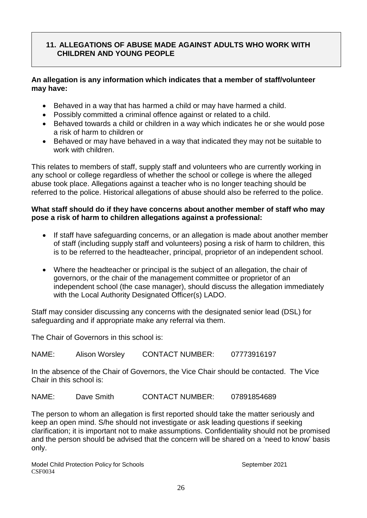# **11. ALLEGATIONS OF ABUSE MADE AGAINST ADULTS WHO WORK WITH CHILDREN AND YOUNG PEOPLE**

### **An allegation is any information which indicates that a member of staff/volunteer may have:**

- Behaved in a way that has harmed a child or may have harmed a child.
- Possibly committed a criminal offence against or related to a child.
- Behaved towards a child or children in a way which indicates he or she would pose a risk of harm to children or
- Behaved or may have behaved in a way that indicated they may not be suitable to work with children.

This relates to members of staff, supply staff and volunteers who are currently working in any school or college regardless of whether the school or college is where the alleged abuse took place. Allegations against a teacher who is no longer teaching should be referred to the police. Historical allegations of abuse should also be referred to the police.

#### **What staff should do if they have concerns about another member of staff who may pose a risk of harm to children allegations against a professional:**

- If staff have safeguarding concerns, or an allegation is made about another member of staff (including supply staff and volunteers) posing a risk of harm to children, this is to be referred to the headteacher, principal, proprietor of an independent school.
- Where the headteacher or principal is the subject of an allegation, the chair of governors, or the chair of the management committee or proprietor of an independent school (the case manager), should discuss the allegation immediately with the Local Authority Designated Officer(s) LADO.

Staff may consider discussing any concerns with the designated senior lead (DSL) for safeguarding and if appropriate make any referral via them.

The Chair of Governors in this school is:

NAME: Alison Worsley CONTACT NUMBER: 07773916197

In the absence of the Chair of Governors, the Vice Chair should be contacted. The Vice Chair in this school is:

NAME: Dave Smith CONTACT NUMBER: 07891854689

The person to whom an allegation is first reported should take the matter seriously and keep an open mind. S/he should not investigate or ask leading questions if seeking clarification; it is important not to make assumptions. Confidentiality should not be promised and the person should be advised that the concern will be shared on a 'need to know' basis only.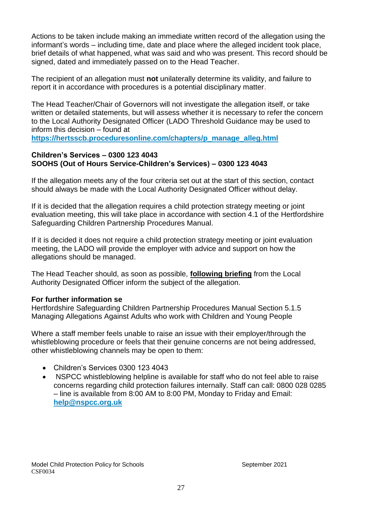Actions to be taken include making an immediate written record of the allegation using the informant's words – including time, date and place where the alleged incident took place, brief details of what happened, what was said and who was present. This record should be signed, dated and immediately passed on to the Head Teacher.

The recipient of an allegation must **not** unilaterally determine its validity, and failure to report it in accordance with procedures is a potential disciplinary matter.

The Head Teacher/Chair of Governors will not investigate the allegation itself, or take written or detailed statements, but will assess whether it is necessary to refer the concern to the Local Authority Designated Officer (LADO Threshold Guidance may be used to inform this decision – found at

**[https://hertsscb.proceduresonline.com/chapters/p\\_manage\\_alleg.html](https://hertsscb.proceduresonline.com/chapters/p_manage_alleg.html)**

### **Children's Services – 0300 123 4043 SOOHS (Out of Hours Service-Children's Services) – 0300 123 4043**

If the allegation meets any of the four criteria set out at the start of this section, contact should always be made with the Local Authority Designated Officer without delay.

If it is decided that the allegation requires a child protection strategy meeting or joint evaluation meeting, this will take place in accordance with section 4.1 of the Hertfordshire Safeguarding Children Partnership Procedures Manual.

If it is decided it does not require a child protection strategy meeting or joint evaluation meeting, the LADO will provide the employer with advice and support on how the allegations should be managed.

The Head Teacher should, as soon as possible, **following briefing** from the Local Authority Designated Officer inform the subject of the allegation.

# **For further information se**

Hertfordshire Safeguarding Children Partnership Procedures Manual Section 5.1.5 [Managing Allegations Against Adults who work with Children and Young People](http://www.proceduresonline.com/herts_scb/chapters/p_manage_alleg.html) 

Where a staff member feels unable to raise an issue with their employer/through the whistleblowing procedure or feels that their genuine concerns are not being addressed, other whistleblowing channels may be open to them:

- Children's Services 0300 123 4043
- NSPCC whistleblowing helpline is available for staff who do not feel able to raise concerns regarding child protection failures internally. Staff can call: 0800 028 0285 – line is available from 8:00 AM to 8:00 PM, Monday to Friday and Email: **[help@nspcc.org.uk](mailto:help@nspcc.org.uk)**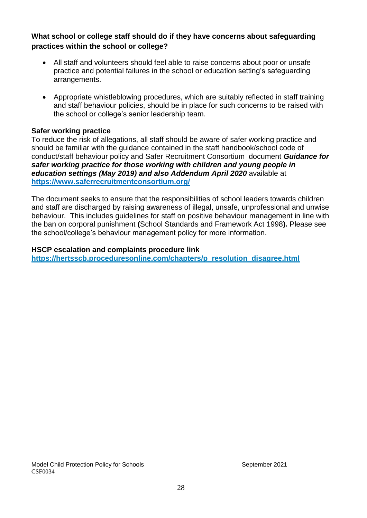# **What school or college staff should do if they have concerns about safeguarding practices within the school or college?**

- All staff and volunteers should feel able to raise concerns about poor or unsafe practice and potential failures in the school or education setting's safeguarding arrangements.
- Appropriate whistleblowing procedures, which are suitably reflected in staff training and staff behaviour policies, should be in place for such concerns to be raised with the school or college's senior leadership team.

### **Safer working practice**

To reduce the risk of allegations, all staff should be aware of safer working practice and should be familiar with the guidance contained in the staff handbook/school code of conduct/staff behaviour policy and Safer Recruitment Consortium document *Guidance for safer working practice for those working with children and young people in education settings (May 2019) and also Addendum April 2020* available at **<https://www.saferrecruitmentconsortium.org/>**

The document seeks to ensure that the responsibilities of school leaders towards children and staff are discharged by raising awareness of illegal, unsafe, unprofessional and unwise behaviour. This includes guidelines for staff on positive behaviour management in line with the ban on corporal punishment **(**School Standards and Framework Act 1998**).** Please see the school/college's behaviour management policy for more information.

#### **HSCP escalation and complaints procedure link**

**[https://hertsscb.proceduresonline.com/chapters/p\\_resolution\\_disagree.html](https://hertsscb.proceduresonline.com/chapters/p_resolution_disagree.html)**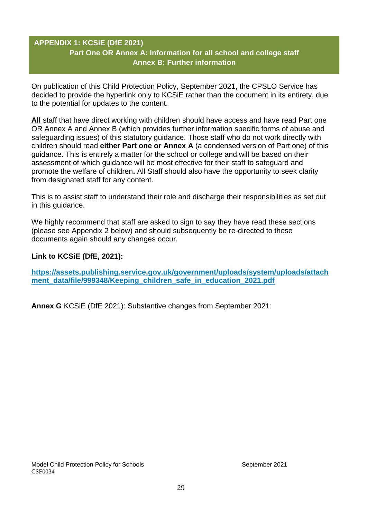# **APPENDIX 1: KCSiE (DfE 2021) Part One OR Annex A: Information for all school and college staff Annex B: Further information**

On publication of this Child Protection Policy, September 2021, the CPSLO Service has decided to provide the hyperlink only to KCSiE rather than the document in its entirety, due to the potential for updates to the content.

**All** staff that have direct working with children should have access and have read Part one OR Annex A and Annex B (which provides further information specific forms of abuse and safeguarding issues) of this statutory guidance. Those staff who do not work directly with children should read **either Part one or Annex A** (a condensed version of Part one) of this guidance. This is entirely a matter for the school or college and will be based on their assessment of which guidance will be most effective for their staff to safeguard and promote the welfare of children**.** All Staff should also have the opportunity to seek clarity from designated staff for any content.

This is to assist staff to understand their role and discharge their responsibilities as set out in this guidance.

We highly recommend that staff are asked to sign to say they have read these sections (please see Appendix 2 below) and should subsequently be re-directed to these documents again should any changes occur.

# **Link to KCSiE (DfE, 2021):**

**[https://assets.publishing.service.gov.uk/government/uploads/system/uploads/attach](https://assets.publishing.service.gov.uk/government/uploads/system/uploads/attachment_data/file/999348/Keeping_children_safe_in_education_2021.pdf)** ment data/file/999348/Keeping children safe in education 2021.pdf

**Annex G** KCSiE (DfE 2021): Substantive changes from September 2021: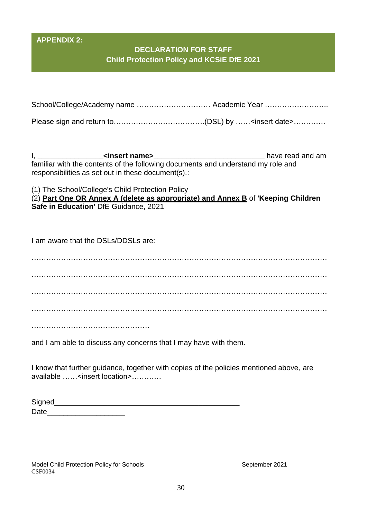# **APPENDIX 2:**

# **DECLARATION FOR STAFF Child Protection Policy and KCSiE DfE 2021**

| School/College/Academy name  Academic Year |  |
|--------------------------------------------|--|
|                                            |  |

Please sign and return to……………………………….(DSL) by ……<insert date>………….

I, **\_\_\_\_\_\_\_\_\_\_\_\_\_\_\_\_<insert name>\_\_\_\_\_\_\_\_\_\_\_\_\_\_\_\_\_\_\_\_\_\_\_\_\_\_\_** have read and am familiar with the contents of the following documents and understand my role and responsibilities as set out in these document(s).:

(1) The School/College's Child Protection Policy

(2) **Part One OR Annex A (delete as appropriate) and Annex B** of **'Keeping Children Safe in Education'** DfE Guidance, 2021

I am aware that the DSLs/DDSLs are:

………………………………………………………………………………………………………… ………………………………………………………………………………………………………… ………………………………………………………………………………………………………… . The contract of the contract of the contract of the contract of the contract of the contract of the contract of the contract of the contract of the contract of the contract of the contract of the contract of the contrac

…………………………………………………………

and I am able to discuss any concerns that I may have with them.

I know that further guidance, together with copies of the policies mentioned above, are available ……<insert location>…………

| Signed |  |  |
|--------|--|--|
| Date   |  |  |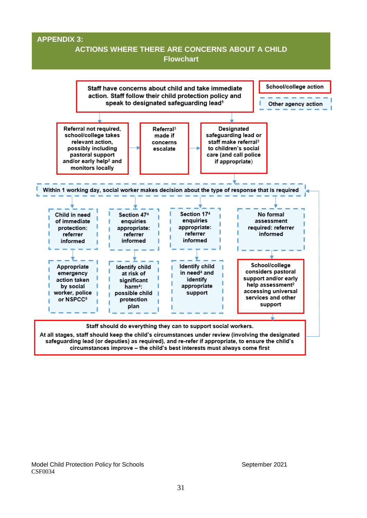#### **APPENDIX 3:**

# **ACTIONS WHERE THERE ARE CONCERNS ABOUT A CHILD**

**Flowchart**

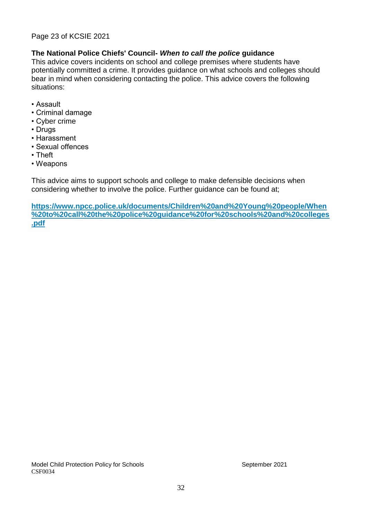#### Page 23 of KCSIE 2021

#### **The National Police Chiefs' Council-** *When to call the police* **guidance**

This advice covers incidents on school and college premises where students have potentially committed a crime. It provides guidance on what schools and colleges should bear in mind when considering contacting the police. This advice covers the following situations:

- Assault
- Criminal damage
- Cyber crime
- Drugs
- Harassment
- Sexual offences
- Theft
- Weapons

This advice aims to support schools and college to make defensible decisions when considering whether to involve the police. Further guidance can be found at;

**[https://www.npcc.police.uk/documents/Children%20and%20Young%20people/When](https://www.npcc.police.uk/documents/Children%20and%20Young%20people/When%20to%20call%20the%20police%20guidance%20for%20schools%20and%20colleges.pdf) [%20to%20call%20the%20police%20guidance%20for%20schools%20and%20colleges](https://www.npcc.police.uk/documents/Children%20and%20Young%20people/When%20to%20call%20the%20police%20guidance%20for%20schools%20and%20colleges.pdf) [.pdf](https://www.npcc.police.uk/documents/Children%20and%20Young%20people/When%20to%20call%20the%20police%20guidance%20for%20schools%20and%20colleges.pdf)**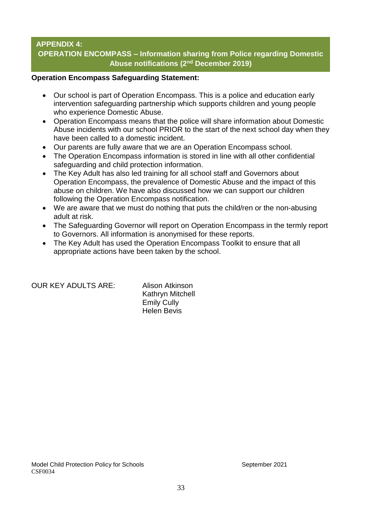# **APPENDIX 4: OPERATION ENCOMPASS – Information sharing from Police regarding Domestic Abuse notifications (2nd December 2019)**

#### **Operation Encompass Safeguarding Statement:**

- Our school is part of Operation Encompass. This is a police and education early intervention safeguarding partnership which supports children and young people who experience Domestic Abuse.
- Operation Encompass means that the police will share information about Domestic Abuse incidents with our school PRIOR to the start of the next school day when they have been called to a domestic incident.
- Our parents are fully aware that we are an Operation Encompass school.
- The Operation Encompass information is stored in line with all other confidential safeguarding and child protection information.
- The Key Adult has also led training for all school staff and Governors about Operation Encompass, the prevalence of Domestic Abuse and the impact of this abuse on children. We have also discussed how we can support our children following the Operation Encompass notification.
- We are aware that we must do nothing that puts the child/ren or the non-abusing adult at risk.
- The Safeguarding Governor will report on Operation Encompass in the termly report to Governors. All information is anonymised for these reports.
- The Key Adult has used the Operation Encompass Toolkit to ensure that all appropriate actions have been taken by the school.

OUR KEY ADULTS ARE: Alison Atkinson

Kathryn Mitchell Emily Cully Helen Bevis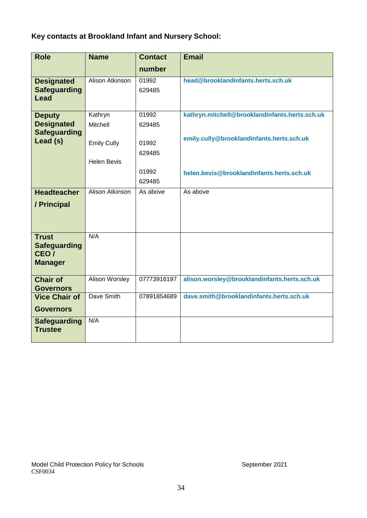# **Key contacts at Brookland Infant and Nursery School:**

| <b>Role</b>                                                   | <b>Name</b>            | <b>Contact</b>     | <b>Email</b>                                   |
|---------------------------------------------------------------|------------------------|--------------------|------------------------------------------------|
|                                                               |                        | number             |                                                |
| <b>Designated</b><br><b>Safeguarding</b><br><b>Lead</b>       | <b>Alison Atkinson</b> | 01992<br>629485    | head@brooklandinfants.herts.sch.uk             |
| <b>Deputy</b>                                                 | Kathryn                | 01992              | kathryn.mitchell@brooklandinfants.herts.sch.uk |
| <b>Designated</b>                                             | Mitchell               | 629485             |                                                |
| <b>Safeguarding</b><br>Lead (s)                               | <b>Emily Cully</b>     | 01992<br>629485    | emily.cully@brooklandinfants.herts.sch.uk      |
|                                                               | <b>Helen Bevis</b>     |                    |                                                |
|                                                               |                        | 01992              | helen.bevis@brooklandinfants.herts.sch.uk      |
| <b>Headteacher</b>                                            | Alison Atkinson        | 629485<br>As above | As above                                       |
|                                                               |                        |                    |                                                |
| / Principal                                                   |                        |                    |                                                |
|                                                               |                        |                    |                                                |
| <b>Trust</b><br><b>Safeguarding</b><br>CEO/<br><b>Manager</b> | N/A                    |                    |                                                |
| <b>Chair of</b><br><b>Governors</b>                           | <b>Alison Worsley</b>  | 07773916197        | alison.worsley@brooklandinfants.herts.sch.uk   |
| <b>Vice Chair of</b><br><b>Governors</b>                      | Dave Smith             | 07891854689        | dave.smith@brooklandinfants.herts.sch.uk       |
| <b>Safeguarding</b><br><b>Trustee</b>                         | N/A                    |                    |                                                |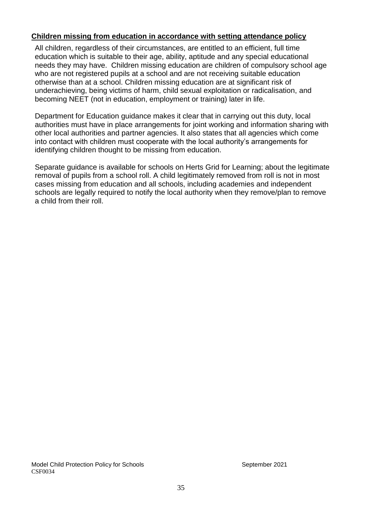### **Children missing from education in accordance with setting attendance policy**

All children, regardless of their circumstances, are entitled to an efficient, full time education which is suitable to their age, ability, aptitude and any special educational needs they may have. Children missing education are children of compulsory school age who are not registered pupils at a school and are not receiving suitable education otherwise than at a school. Children missing education are at significant risk of underachieving, being victims of harm, child sexual exploitation or radicalisation, and becoming NEET (not in education, employment or training) later in life.

Department for Education guidance makes it clear that in carrying out this duty, local authorities must have in place arrangements for joint working and information sharing with other local authorities and partner agencies. It also states that all agencies which come into contact with children must cooperate with the local authority's arrangements for identifying children thought to be missing from education.

Separate guidance is available for schools on Herts Grid for Learning; about the legitimate removal of pupils from a school roll. A child legitimately removed from roll is not in most cases missing from education and all schools, including academies and independent schools are legally required to notify the local authority when they remove/plan to remove a child from their roll.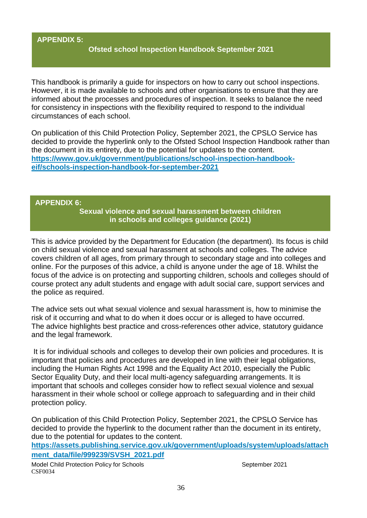# **APPENDIX 5:**

#### **Ofsted school Inspection Handbook September 2021**

This handbook is primarily a guide for inspectors on how to carry out school inspections. However, it is made available to schools and other organisations to ensure that they are informed about the processes and procedures of inspection. It seeks to balance the need for consistency in inspections with the flexibility required to respond to the individual circumstances of each school.

On publication of this Child Protection Policy, September 2021, the CPSLO Service has decided to provide the hyperlink only to the Ofsted School Inspection Handbook rather than the document in its entirety, due to the potential for updates to the content. **[https://www.gov.uk/government/publications/school-inspection-handbook](https://www.gov.uk/government/publications/school-inspection-handbook-eif/schools-inspection-handbook-for-september-2021)[eif/schools-inspection-handbook-for-september-2021](https://www.gov.uk/government/publications/school-inspection-handbook-eif/schools-inspection-handbook-for-september-2021)**

#### **APPENDIX 6:**

**Sexual violence and sexual harassment between children in schools and colleges guidance (2021)**

This is advice provided by the Department for Education (the department). Its focus is child on child sexual violence and sexual harassment at schools and colleges. The advice covers children of all ages, from primary through to secondary stage and into colleges and online. For the purposes of this advice, a child is anyone under the age of 18. Whilst the focus of the advice is on protecting and supporting children, schools and colleges should of course protect any adult students and engage with adult social care, support services and the police as required.

The advice sets out what sexual violence and sexual harassment is, how to minimise the risk of it occurring and what to do when it does occur or is alleged to have occurred. The advice highlights best practice and cross-references other advice, statutory guidance and the legal framework.

It is for individual schools and colleges to develop their own policies and procedures. It is important that policies and procedures are developed in line with their legal obligations, including the Human Rights Act 1998 and the Equality Act 2010, especially the Public Sector Equality Duty, and their local multi-agency safeguarding arrangements. It is important that schools and colleges consider how to reflect sexual violence and sexual harassment in their whole school or college approach to safeguarding and in their child protection policy.

On publication of this Child Protection Policy, September 2021, the CPSLO Service has decided to provide the hyperlink to the document rather than the document in its entirety, due to the potential for updates to the content.

**[https://assets.publishing.service.gov.uk/government/uploads/system/uploads/attach](https://assets.publishing.service.gov.uk/government/uploads/system/uploads/attachment_data/file/999239/SVSH_2021.pdf) [ment\\_data/file/999239/SVSH\\_2021.pdf](https://assets.publishing.service.gov.uk/government/uploads/system/uploads/attachment_data/file/999239/SVSH_2021.pdf)**

Model Child Protection Policy for Schools Model Child Protection Policy for Schools CSF0034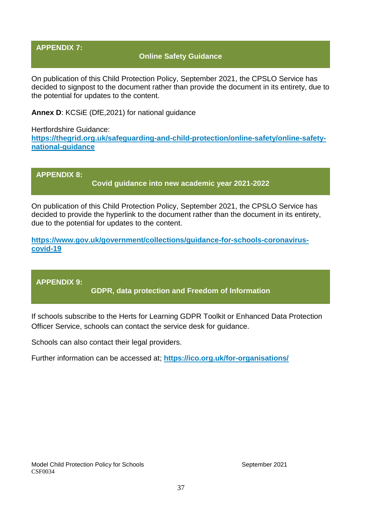### **APPENDIX 7:**

### **Online Safety Guidance**

On publication of this Child Protection Policy, September 2021, the CPSLO Service has decided to signpost to the document rather than provide the document in its entirety, due to the potential for updates to the content.

**Annex D**: KCSiE (DfE,2021) for national guidance

Hertfordshire Guidance: **[https://thegrid.org.uk/safeguarding-and-child-protection/online-safety/online-safety](https://thegrid.org.uk/safeguarding-and-child-protection/online-safety/online-safety-national-guidance)[national-guidance](https://thegrid.org.uk/safeguarding-and-child-protection/online-safety/online-safety-national-guidance)**

**APPENDIX 8: Covid guidance into new academic year 2021-2022**

On publication of this Child Protection Policy, September 2021, the CPSLO Service has decided to provide the hyperlink to the document rather than the document in its entirety, due to the potential for updates to the content.

**[https://www.gov.uk/government/collections/guidance-for-schools-coronavirus](https://www.gov.uk/government/collections/guidance-for-schools-coronavirus-covid-19)[covid-19](https://www.gov.uk/government/collections/guidance-for-schools-coronavirus-covid-19)**

**APPENDIX 9:**

**GDPR, data protection and Freedom of Information**

If schools subscribe to the Herts for Learning GDPR Toolkit or Enhanced Data Protection Officer Service, schools can contact the service desk for guidance.

Schools can also contact their legal providers.

Further information can be accessed at; **<https://ico.org.uk/for-organisations/>**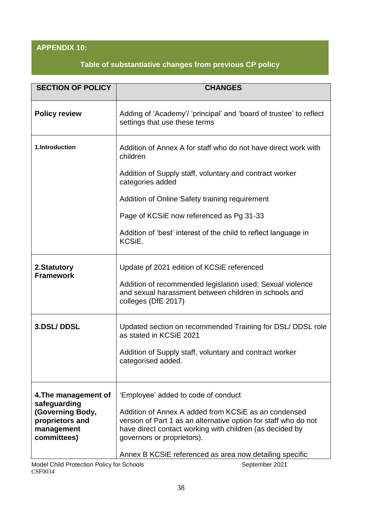# **APPENDIX 10:**

# **Table of substantiative changes from previous CP policy**

| <b>SECTION OF POLICY</b>                                         | <b>CHANGES</b>                                                                                                                                                                                                    |
|------------------------------------------------------------------|-------------------------------------------------------------------------------------------------------------------------------------------------------------------------------------------------------------------|
| <b>Policy review</b>                                             | Adding of 'Academy'/ 'principal' and 'board of trustee' to reflect<br>settings that use these terms                                                                                                               |
| 1.Introduction                                                   | Addition of Annex A for staff who do not have direct work with<br>children                                                                                                                                        |
|                                                                  | Addition of Supply staff, voluntary and contract worker<br>categories added                                                                                                                                       |
|                                                                  | Addition of Online Safety training requirement                                                                                                                                                                    |
|                                                                  | Page of KCSiE now referenced as Pg 31-33                                                                                                                                                                          |
|                                                                  | Addition of 'best' interest of the child to reflect language in<br>KCSiE.                                                                                                                                         |
| 2.Statutory                                                      | Update pf 2021 edition of KCSiE referenced                                                                                                                                                                        |
| <b>Framework</b>                                                 | Addition of recommended legislation used; Sexual violence<br>and sexual harassment between children in schools and<br>colleges (DfE 2017)                                                                         |
| 3.DSL/DDSL                                                       | Updated section on recommended Training for DSL/ DDSL role<br>as stated in KCSiE 2021                                                                                                                             |
|                                                                  | Addition of Supply staff, voluntary and contract worker<br>categorised added.                                                                                                                                     |
| 4. The management of<br>safeguarding                             | 'Employee' added to code of conduct                                                                                                                                                                               |
| (Governing Body,<br>proprietors and<br>management<br>committees) | Addition of Annex A added from KCSiE as an condensed<br>version of Part 1 as an alternative option for staff who do not<br>have direct contact working with children (as decided by<br>governors or proprietors). |
|                                                                  | Annex B KCSIE referenced as area now detailing specific                                                                                                                                                           |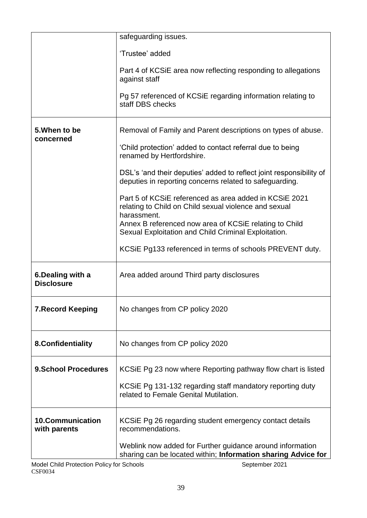|                                         | safeguarding issues.                                                                                                           |
|-----------------------------------------|--------------------------------------------------------------------------------------------------------------------------------|
|                                         | 'Trustee' added                                                                                                                |
|                                         | Part 4 of KCSiE area now reflecting responding to allegations<br>against staff                                                 |
|                                         | Pg 57 referenced of KCSIE regarding information relating to<br>staff DBS checks                                                |
| 5. When to be<br>concerned              | Removal of Family and Parent descriptions on types of abuse.                                                                   |
|                                         | 'Child protection' added to contact referral due to being<br>renamed by Hertfordshire.                                         |
|                                         | DSL's 'and their deputies' added to reflect joint responsibility of<br>deputies in reporting concerns related to safeguarding. |
|                                         | Part 5 of KCSiE referenced as area added in KCSiE 2021<br>relating to Child on Child sexual violence and sexual<br>harassment. |
|                                         | Annex B referenced now area of KCSIE relating to Child<br>Sexual Exploitation and Child Criminal Exploitation.                 |
|                                         | KCSIE Pg133 referenced in terms of schools PREVENT duty.                                                                       |
| 6. Dealing with a<br><b>Disclosure</b>  | Area added around Third party disclosures                                                                                      |
| <b>7. Record Keeping</b>                | No changes from CP policy 2020                                                                                                 |
| 8. Confidentiality                      | No changes from CP policy 2020                                                                                                 |
| <b>9.School Procedures</b>              | KCSIE Pg 23 now where Reporting pathway flow chart is listed                                                                   |
|                                         | KCSIE Pg 131-132 regarding staff mandatory reporting duty<br>related to Female Genital Mutilation.                             |
| <b>10.Communication</b><br>with parents | KCSIE Pg 26 regarding student emergency contact details<br>recommendations.                                                    |
|                                         | Weblink now added for Further guidance around information<br>sharing can be located within; Information sharing Advice for     |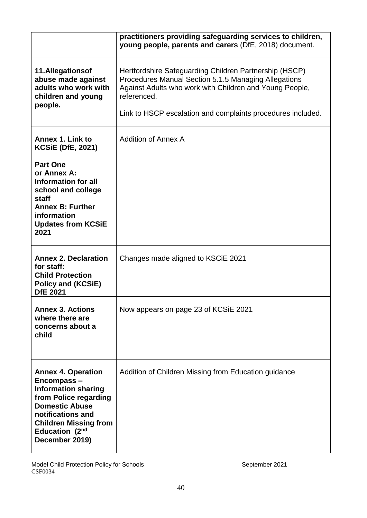|                                                                                                                                                                                                                  | practitioners providing safeguarding services to children,<br>young people, parents and carers (DfE, 2018) document.                                                                                                                                    |
|------------------------------------------------------------------------------------------------------------------------------------------------------------------------------------------------------------------|---------------------------------------------------------------------------------------------------------------------------------------------------------------------------------------------------------------------------------------------------------|
| 11.Allegationsof<br>abuse made against<br>adults who work with<br>children and young<br>people.                                                                                                                  | Hertfordshire Safeguarding Children Partnership (HSCP)<br>Procedures Manual Section 5.1.5 Managing Allegations<br>Against Adults who work with Children and Young People,<br>referenced.<br>Link to HSCP escalation and complaints procedures included. |
| Annex 1. Link to<br><b>KCSiE (DfE, 2021)</b>                                                                                                                                                                     | Addition of Annex A                                                                                                                                                                                                                                     |
| <b>Part One</b><br>or Annex A:<br>Information for all<br>school and college<br>staff<br><b>Annex B: Further</b><br>information<br><b>Updates from KCSiE</b><br>2021                                              |                                                                                                                                                                                                                                                         |
| <b>Annex 2. Declaration</b><br>for staff:<br><b>Child Protection</b><br><b>Policy and (KCSiE)</b><br><b>DfE 2021</b>                                                                                             | Changes made aligned to KSCIE 2021                                                                                                                                                                                                                      |
| <b>Annex 3. Actions</b><br>where there are<br>concerns about a<br>child                                                                                                                                          | Now appears on page 23 of KCSiE 2021                                                                                                                                                                                                                    |
| <b>Annex 4. Operation</b><br>Encompass-<br><b>Information sharing</b><br>from Police regarding<br><b>Domestic Abuse</b><br>notifications and<br><b>Children Missing from</b><br>Education (2nd<br>December 2019) | Addition of Children Missing from Education guidance                                                                                                                                                                                                    |